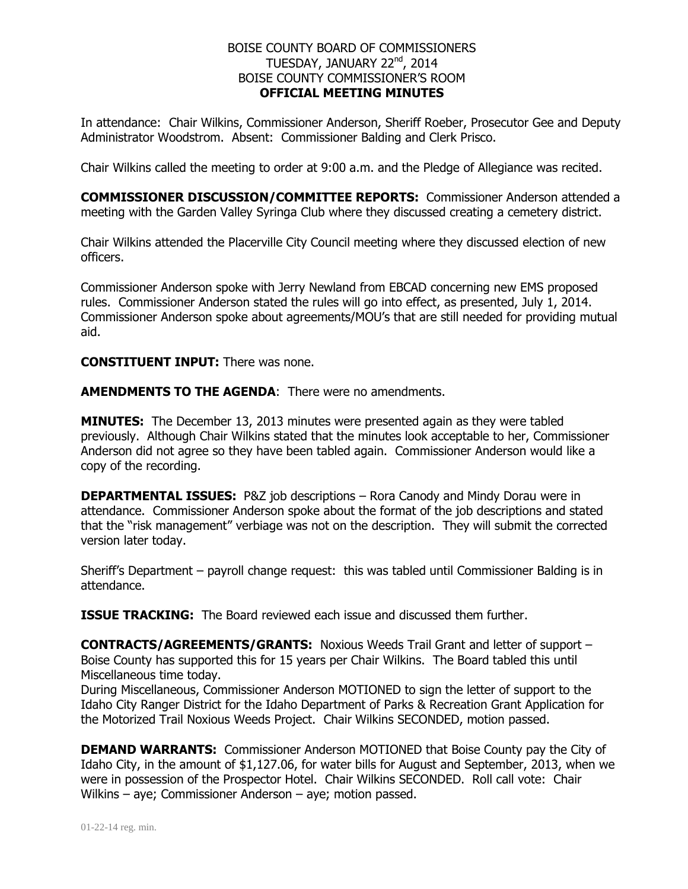## BOISE COUNTY BOARD OF COMMISSIONERS TUESDAY, JANUARY 22<sup>nd</sup>, 2014 BOISE COUNTY COMMISSIONER'S ROOM **OFFICIAL MEETING MINUTES**

In attendance: Chair Wilkins, Commissioner Anderson, Sheriff Roeber, Prosecutor Gee and Deputy Administrator Woodstrom. Absent: Commissioner Balding and Clerk Prisco.

Chair Wilkins called the meeting to order at 9:00 a.m. and the Pledge of Allegiance was recited.

**COMMISSIONER DISCUSSION/COMMITTEE REPORTS:** Commissioner Anderson attended a meeting with the Garden Valley Syringa Club where they discussed creating a cemetery district.

Chair Wilkins attended the Placerville City Council meeting where they discussed election of new officers.

Commissioner Anderson spoke with Jerry Newland from EBCAD concerning new EMS proposed rules. Commissioner Anderson stated the rules will go into effect, as presented, July 1, 2014. Commissioner Anderson spoke about agreements/MOU's that are still needed for providing mutual aid.

**CONSTITUENT INPUT:** There was none.

**AMENDMENTS TO THE AGENDA**: There were no amendments.

**MINUTES:** The December 13, 2013 minutes were presented again as they were tabled previously. Although Chair Wilkins stated that the minutes look acceptable to her, Commissioner Anderson did not agree so they have been tabled again. Commissioner Anderson would like a copy of the recording.

**DEPARTMENTAL ISSUES:** P&Z job descriptions – Rora Canody and Mindy Dorau were in attendance. Commissioner Anderson spoke about the format of the job descriptions and stated that the "risk management" verbiage was not on the description. They will submit the corrected version later today.

Sheriff's Department – payroll change request: this was tabled until Commissioner Balding is in attendance.

**ISSUE TRACKING:** The Board reviewed each issue and discussed them further.

**CONTRACTS/AGREEMENTS/GRANTS:** Noxious Weeds Trail Grant and letter of support – Boise County has supported this for 15 years per Chair Wilkins. The Board tabled this until Miscellaneous time today.

During Miscellaneous, Commissioner Anderson MOTIONED to sign the letter of support to the Idaho City Ranger District for the Idaho Department of Parks & Recreation Grant Application for the Motorized Trail Noxious Weeds Project. Chair Wilkins SECONDED, motion passed.

**DEMAND WARRANTS:** Commissioner Anderson MOTIONED that Boise County pay the City of Idaho City, in the amount of \$1,127.06, for water bills for August and September, 2013, when we were in possession of the Prospector Hotel. Chair Wilkins SECONDED. Roll call vote: Chair Wilkins – aye; Commissioner Anderson – aye; motion passed.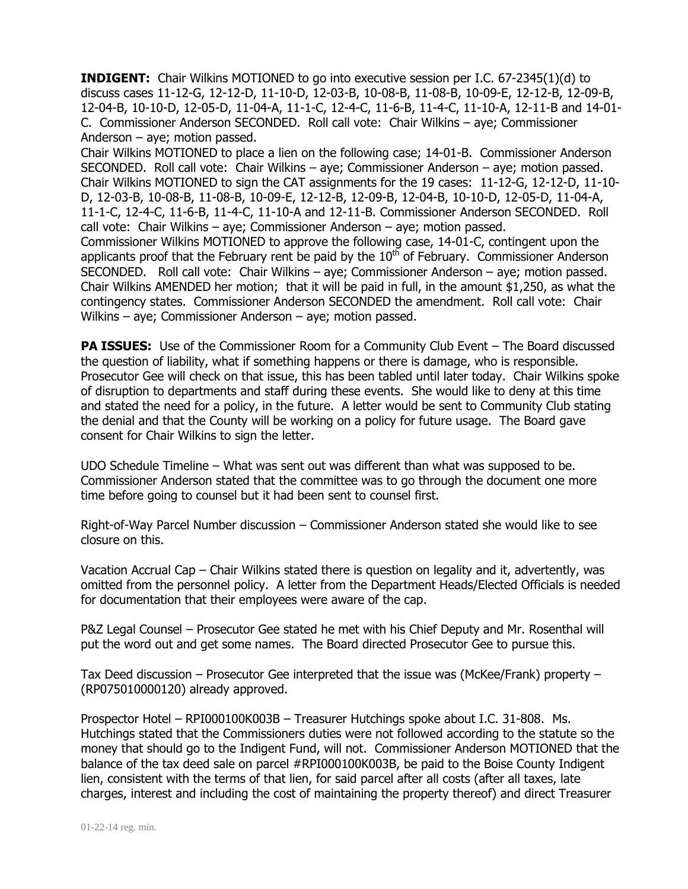**INDIGENT:** Chair Wilkins MOTIONED to go into executive session per I.C. 67-2345(1)(d) to discuss cases 11-12-G, 12-12-D, 11-10-D, 12-03-B, 10-08-B, 11-08-B, 10-09-E, 12-12-B, 12-09-B, 12-04-B, 10-10-D, 12-05-D, 11-04-A, 11-1-C, 12-4-C, 11-6-B, 11-4-C, 11-10-A, 12-11-B and 14-01- C. Commissioner Anderson SECONDED. Roll call vote: Chair Wilkins – aye; Commissioner Anderson – aye; motion passed.

Chair Wilkins MOTIONED to place a lien on the following case; 14-01-B. Commissioner Anderson SECONDED. Roll call vote: Chair Wilkins – aye; Commissioner Anderson – aye; motion passed. Chair Wilkins MOTIONED to sign the CAT assignments for the 19 cases: 11-12-G, 12-12-D, 11-10- D, 12-03-B, 10-08-B, 11-08-B, 10-09-E, 12-12-B, 12-09-B, 12-04-B, 10-10-D, 12-05-D, 11-04-A, 11-1-C, 12-4-C, 11-6-B, 11-4-C, 11-10-A and 12-11-B. Commissioner Anderson SECONDED. Roll call vote: Chair Wilkins – aye; Commissioner Anderson – aye; motion passed. Commissioner Wilkins MOTIONED to approve the following case, 14-01-C, contingent upon the applicants proof that the February rent be paid by the  $10<sup>th</sup>$  of February. Commissioner Anderson SECONDED. Roll call vote: Chair Wilkins – aye; Commissioner Anderson – aye; motion passed. Chair Wilkins AMENDED her motion; that it will be paid in full, in the amount \$1,250, as what the contingency states. Commissioner Anderson SECONDED the amendment. Roll call vote: Chair Wilkins – aye; Commissioner Anderson – aye; motion passed.

**PA ISSUES:** Use of the Commissioner Room for a Community Club Event – The Board discussed the question of liability, what if something happens or there is damage, who is responsible. Prosecutor Gee will check on that issue, this has been tabled until later today. Chair Wilkins spoke of disruption to departments and staff during these events. She would like to deny at this time and stated the need for a policy, in the future. A letter would be sent to Community Club stating the denial and that the County will be working on a policy for future usage. The Board gave consent for Chair Wilkins to sign the letter.

UDO Schedule Timeline – What was sent out was different than what was supposed to be. Commissioner Anderson stated that the committee was to go through the document one more time before going to counsel but it had been sent to counsel first.

Right-of-Way Parcel Number discussion – Commissioner Anderson stated she would like to see closure on this.

Vacation Accrual Cap – Chair Wilkins stated there is question on legality and it, advertently, was omitted from the personnel policy. A letter from the Department Heads/Elected Officials is needed for documentation that their employees were aware of the cap.

P&Z Legal Counsel – Prosecutor Gee stated he met with his Chief Deputy and Mr. Rosenthal will put the word out and get some names. The Board directed Prosecutor Gee to pursue this.

Tax Deed discussion – Prosecutor Gee interpreted that the issue was (McKee/Frank) property – (RP075010000120) already approved.

Prospector Hotel – RPI000100K003B – Treasurer Hutchings spoke about I.C. 31-808. Ms. Hutchings stated that the Commissioners duties were not followed according to the statute so the money that should go to the Indigent Fund, will not. Commissioner Anderson MOTIONED that the balance of the tax deed sale on parcel #RPI000100K003B, be paid to the Boise County Indigent lien, consistent with the terms of that lien, for said parcel after all costs (after all taxes, late charges, interest and including the cost of maintaining the property thereof) and direct Treasurer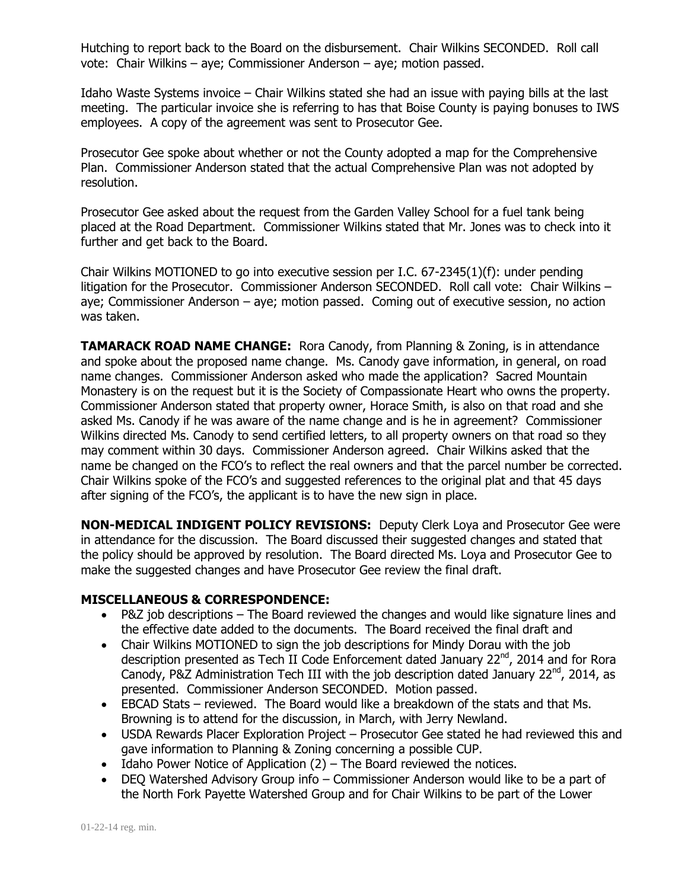Hutching to report back to the Board on the disbursement. Chair Wilkins SECONDED. Roll call vote: Chair Wilkins – aye; Commissioner Anderson – aye; motion passed.

Idaho Waste Systems invoice – Chair Wilkins stated she had an issue with paying bills at the last meeting. The particular invoice she is referring to has that Boise County is paying bonuses to IWS employees. A copy of the agreement was sent to Prosecutor Gee.

Prosecutor Gee spoke about whether or not the County adopted a map for the Comprehensive Plan. Commissioner Anderson stated that the actual Comprehensive Plan was not adopted by resolution.

Prosecutor Gee asked about the request from the Garden Valley School for a fuel tank being placed at the Road Department. Commissioner Wilkins stated that Mr. Jones was to check into it further and get back to the Board.

Chair Wilkins MOTIONED to go into executive session per I.C. 67-2345(1)(f): under pending litigation for the Prosecutor. Commissioner Anderson SECONDED. Roll call vote: Chair Wilkins – aye; Commissioner Anderson – aye; motion passed. Coming out of executive session, no action was taken.

**TAMARACK ROAD NAME CHANGE:** Rora Canody, from Planning & Zoning, is in attendance and spoke about the proposed name change. Ms. Canody gave information, in general, on road name changes. Commissioner Anderson asked who made the application? Sacred Mountain Monastery is on the request but it is the Society of Compassionate Heart who owns the property. Commissioner Anderson stated that property owner, Horace Smith, is also on that road and she asked Ms. Canody if he was aware of the name change and is he in agreement? Commissioner Wilkins directed Ms. Canody to send certified letters, to all property owners on that road so they may comment within 30 days. Commissioner Anderson agreed. Chair Wilkins asked that the name be changed on the FCO's to reflect the real owners and that the parcel number be corrected. Chair Wilkins spoke of the FCO's and suggested references to the original plat and that 45 days after signing of the FCO's, the applicant is to have the new sign in place.

**NON-MEDICAL INDIGENT POLICY REVISIONS:** Deputy Clerk Loya and Prosecutor Gee were in attendance for the discussion. The Board discussed their suggested changes and stated that the policy should be approved by resolution. The Board directed Ms. Loya and Prosecutor Gee to make the suggested changes and have Prosecutor Gee review the final draft.

## **MISCELLANEOUS & CORRESPONDENCE:**

- P&Z job descriptions The Board reviewed the changes and would like signature lines and the effective date added to the documents. The Board received the final draft and
- Chair Wilkins MOTIONED to sign the job descriptions for Mindy Dorau with the job description presented as Tech II Code Enforcement dated January 22<sup>nd</sup>, 2014 and for Rora Canody, P&Z Administration Tech III with the job description dated January 22<sup>nd</sup>, 2014, as presented. Commissioner Anderson SECONDED. Motion passed.
- EBCAD Stats reviewed. The Board would like a breakdown of the stats and that Ms. Browning is to attend for the discussion, in March, with Jerry Newland.
- USDA Rewards Placer Exploration Project Prosecutor Gee stated he had reviewed this and gave information to Planning & Zoning concerning a possible CUP.
- $\bullet$  Idaho Power Notice of Application (2) The Board reviewed the notices.
- DEQ Watershed Advisory Group info Commissioner Anderson would like to be a part of the North Fork Payette Watershed Group and for Chair Wilkins to be part of the Lower